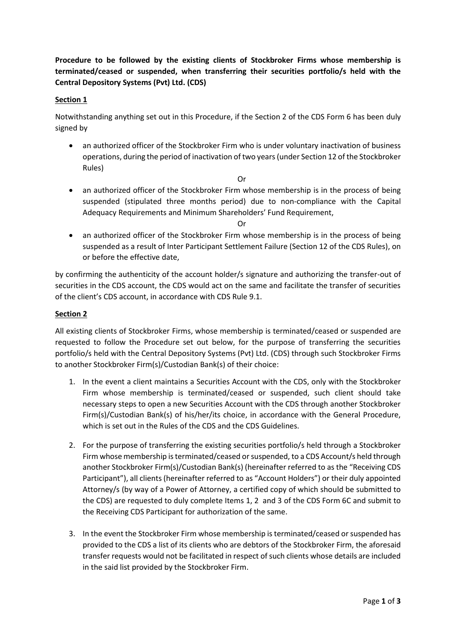**Procedure to be followed by the existing clients of Stockbroker Firms whose membership is terminated/ceased or suspended, when transferring their securities portfolio/s held with the Central Depository Systems (Pvt) Ltd. (CDS)**

## **Section 1**

Notwithstanding anything set out in this Procedure, if the Section 2 of the CDS Form 6 has been duly signed by

- an authorized officer of the Stockbroker Firm who is under voluntary inactivation of business operations, during the period of inactivation of two years(under Section 12 of the Stockbroker Rules)
	- Or
- an authorized officer of the Stockbroker Firm whose membership is in the process of being suspended (stipulated three months period) due to non-compliance with the Capital Adequacy Requirements and Minimum Shareholders' Fund Requirement,

Or

• an authorized officer of the Stockbroker Firm whose membership is in the process of being suspended as a result of Inter Participant Settlement Failure (Section 12 of the CDS Rules), on or before the effective date,

by confirming the authenticity of the account holder/s signature and authorizing the transfer-out of securities in the CDS account, the CDS would act on the same and facilitate the transfer of securities of the client's CDS account, in accordance with CDS Rule 9.1.

## **Section 2**

All existing clients of Stockbroker Firms, whose membership is terminated/ceased or suspended are requested to follow the Procedure set out below, for the purpose of transferring the securities portfolio/s held with the Central Depository Systems (Pvt) Ltd. (CDS) through such Stockbroker Firms to another Stockbroker Firm(s)/Custodian Bank(s) of their choice:

- 1. In the event a client maintains a Securities Account with the CDS, only with the Stockbroker Firm whose membership is terminated/ceased or suspended, such client should take necessary steps to open a new Securities Account with the CDS through another Stockbroker Firm(s)/Custodian Bank(s) of his/her/its choice, in accordance with the General Procedure, which is set out in the Rules of the CDS and the CDS Guidelines.
- 2. For the purpose of transferring the existing securities portfolio/s held through a Stockbroker Firm whose membership is terminated/ceased orsuspended, to a CDS Account/s held through another Stockbroker Firm(s)/Custodian Bank(s) (hereinafter referred to as the "Receiving CDS Participant"), all clients (hereinafter referred to as "Account Holders") or their duly appointed Attorney/s (by way of a Power of Attorney, a certified copy of which should be submitted to the CDS) are requested to duly complete Items 1, 2 and 3 of the CDS Form 6C and submit to the Receiving CDS Participant for authorization of the same.
- 3. In the event the Stockbroker Firm whose membership is terminated/ceased or suspended has provided to the CDS a list of its clients who are debtors of the Stockbroker Firm, the aforesaid transfer requests would not be facilitated in respect of such clients whose details are included in the said list provided by the Stockbroker Firm.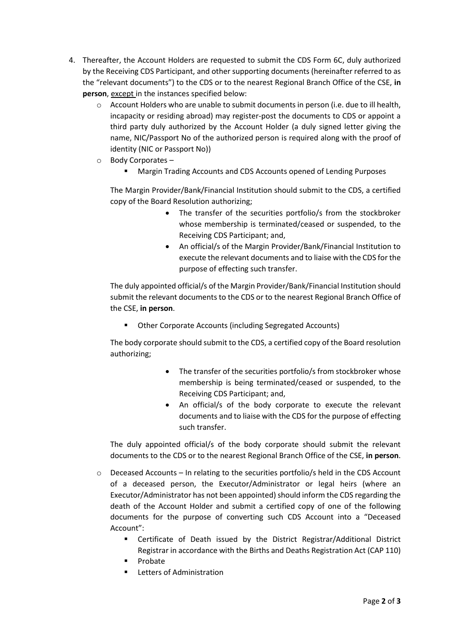- 4. Thereafter, the Account Holders are requested to submit the CDS Form 6C, duly authorized by the Receiving CDS Participant, and other supporting documents (hereinafter referred to as the "relevant documents") to the CDS or to the nearest Regional Branch Office of the CSE, **in person**, except in the instances specified below:
	- o Account Holders who are unable to submit documents in person (i.e. due to ill health, incapacity or residing abroad) may register-post the documents to CDS or appoint a third party duly authorized by the Account Holder (a duly signed letter giving the name, NIC/Passport No of the authorized person is required along with the proof of identity (NIC or Passport No))
	- o Body Corporates
		- Margin Trading Accounts and CDS Accounts opened of Lending Purposes

The Margin Provider/Bank/Financial Institution should submit to the CDS, a certified copy of the Board Resolution authorizing;

- The transfer of the securities portfolio/s from the stockbroker whose membership is terminated/ceased or suspended, to the Receiving CDS Participant; and,
- An official/s of the Margin Provider/Bank/Financial Institution to execute the relevant documents and to liaise with the CDS for the purpose of effecting such transfer.

The duly appointed official/s of the Margin Provider/Bank/Financial Institution should submit the relevant documents to the CDS or to the nearest Regional Branch Office of the CSE, **in person**.

Other Corporate Accounts (including Segregated Accounts)

The body corporate should submit to the CDS, a certified copy of the Board resolution authorizing;

- The transfer of the securities portfolio/s from stockbroker whose membership is being terminated/ceased or suspended, to the Receiving CDS Participant; and,
- An official/s of the body corporate to execute the relevant documents and to liaise with the CDS for the purpose of effecting such transfer.

The duly appointed official/s of the body corporate should submit the relevant documents to the CDS or to the nearest Regional Branch Office of the CSE, **in person**.

- $\circ$  Deceased Accounts In relating to the securities portfolio/s held in the CDS Account of a deceased person, the Executor/Administrator or legal heirs (where an Executor/Administrator has not been appointed) should inform the CDS regarding the death of the Account Holder and submit a certified copy of one of the following documents for the purpose of converting such CDS Account into a "Deceased Account":
	- Certificate of Death issued by the District Registrar/Additional District Registrar in accordance with the Births and Deaths Registration Act (CAP 110)
	- **Probate**
	- Letters of Administration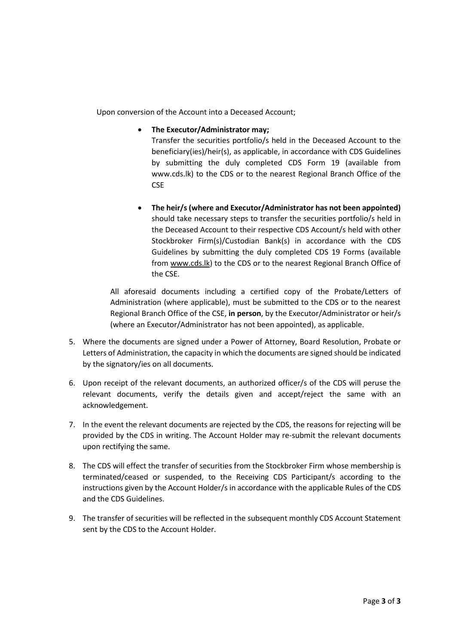Upon conversion of the Account into a Deceased Account;

• **The Executor/Administrator may;**

Transfer the securities portfolio/s held in the Deceased Account to the beneficiary(ies)/heir(s), as applicable, in accordance with CDS Guidelines by submitting the duly completed CDS Form 19 (available from [www.cds.lk\)](http://www.cds.lk/) to the CDS or to the nearest Regional Branch Office of the **CSE** 

• **The heir/s (where and Executor/Administrator has not been appointed)** should take necessary steps to transfer the securities portfolio/s held in the Deceased Account to their respective CDS Account/s held with other Stockbroker Firm(s)/Custodian Bank(s) in accordance with the CDS Guidelines by submitting the duly completed CDS 19 Forms (available from [www.cds.lk\)](http://www.cds.lk/) to the CDS or to the nearest Regional Branch Office of the CSE.

All aforesaid documents including a certified copy of the Probate/Letters of Administration (where applicable), must be submitted to the CDS or to the nearest Regional Branch Office of the CSE, **in person**, by the Executor/Administrator or heir/s (where an Executor/Administrator has not been appointed), as applicable.

- 5. Where the documents are signed under a Power of Attorney, Board Resolution, Probate or Letters of Administration, the capacity in which the documents are signed should be indicated by the signatory/ies on all documents.
- 6. Upon receipt of the relevant documents, an authorized officer/s of the CDS will peruse the relevant documents, verify the details given and accept/reject the same with an acknowledgement.
- 7. In the event the relevant documents are rejected by the CDS, the reasons for rejecting will be provided by the CDS in writing. The Account Holder may re-submit the relevant documents upon rectifying the same.
- 8. The CDS will effect the transfer of securities from the Stockbroker Firm whose membership is terminated/ceased or suspended, to the Receiving CDS Participant/s according to the instructions given by the Account Holder/s in accordance with the applicable Rules of the CDS and the CDS Guidelines.
- 9. The transfer of securities will be reflected in the subsequent monthly CDS Account Statement sent by the CDS to the Account Holder.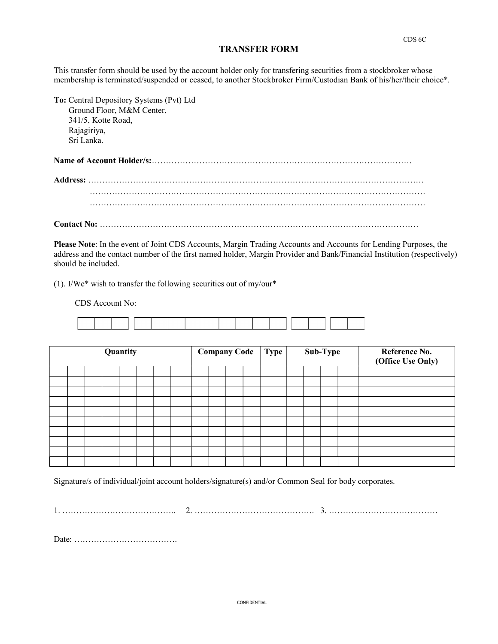## TRANSFER FORM

This transfer form should be used by the account holder only for transfering securities from a stockbroker whose membership is terminated/suspended or ceased, to another Stockbroker Firm/Custodian Bank of his/her/their choice\*.

| To: Central Depository Systems (Pvt) Ltd |  |
|------------------------------------------|--|
| Ground Floor, M&M Center,                |  |
| 341/5, Kotte Road,                       |  |
| Rajagiriya,                              |  |
| Sri Lanka.                               |  |
|                                          |  |
|                                          |  |
|                                          |  |
|                                          |  |
|                                          |  |

Please Note: In the event of Joint CDS Accounts, Margin Trading Accounts and Accounts for Lending Purposes, the address and the contact number of the first named holder, Margin Provider and Bank/Financial Institution (respectively) should be included.

(1). I/We\* wish to transfer the following securities out of my/our\*

CDS Account No:

|  |  | Quantity |  |  | <b>Company Code</b><br>Type  <br>Sub-Type |  |  |  | Reference No.<br>(Office Use Only) |  |  |
|--|--|----------|--|--|-------------------------------------------|--|--|--|------------------------------------|--|--|
|  |  |          |  |  |                                           |  |  |  |                                    |  |  |
|  |  |          |  |  |                                           |  |  |  |                                    |  |  |
|  |  |          |  |  |                                           |  |  |  |                                    |  |  |
|  |  |          |  |  |                                           |  |  |  |                                    |  |  |
|  |  |          |  |  |                                           |  |  |  |                                    |  |  |
|  |  |          |  |  |                                           |  |  |  |                                    |  |  |
|  |  |          |  |  |                                           |  |  |  |                                    |  |  |
|  |  |          |  |  |                                           |  |  |  |                                    |  |  |
|  |  |          |  |  |                                           |  |  |  |                                    |  |  |
|  |  |          |  |  |                                           |  |  |  |                                    |  |  |

Signature/s of individual/joint account holders/signature(s) and/or Common Seal for body corporates.

1. ………………………………….. 2. ……………………………………. 3. …………………………………

Date: ……………………………….